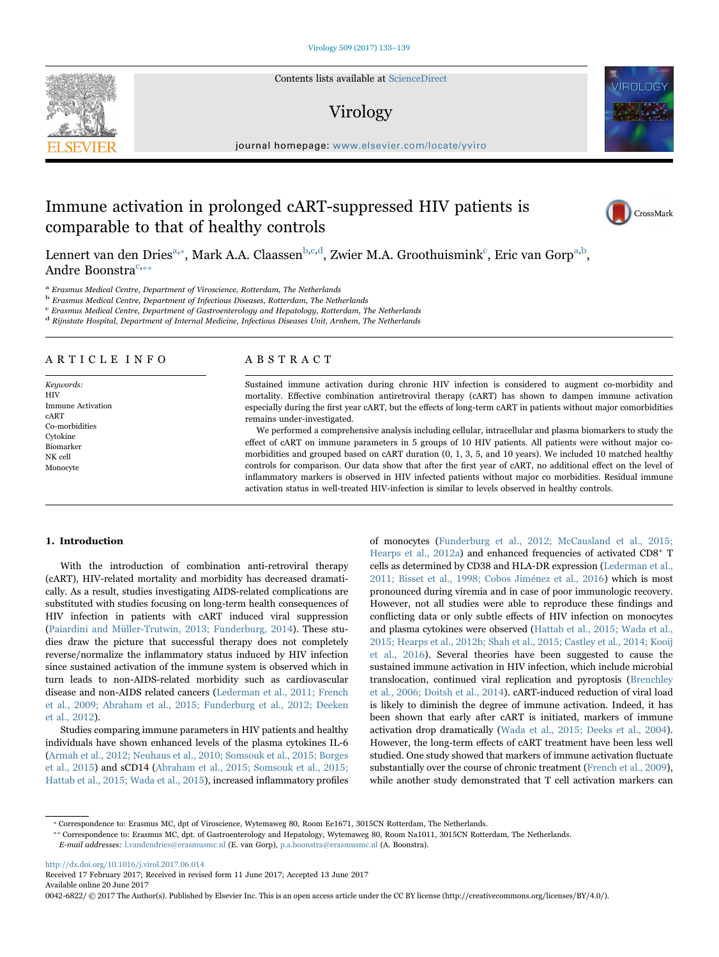Contents lists available at [ScienceDirect](http://www.sciencedirect.com/science/journal/00426822)

## Virology

journal homepage: www.elsevier.com/locate/ $\frac{1}{2}$ 

# Immune activation in prolonged cART-suppressed HIV patients is comparable to that of healthy controls



Lennert van den Dries<sup>a,</sup>\*[, Mark A.A. Claassen](#page-0-1)<sup>[b,](#page-0-2)[c,](#page-0-3)d</sup>[, Zwier M.A. Groothuismink](#page-0-4)<sup>c</sup>[, Eric van Gorp](#page-0-3)<sup>[a,](#page-0-0)[b](#page-0-2)</sup>, Andre Boonstra<sup>[c,](#page-0-3)\*\*</sup>

<span id="page-0-0"></span><sup>a</sup> Erasmus Medical Centre, Department of Viroscience, Rotterdam, The Netherlands

<span id="page-0-2"></span><sup>b</sup> Erasmus Medical Centre, Department of Infectious Diseases, Rotterdam, The Netherlands

<span id="page-0-3"></span> $c$  Erasmus Medical Centre, Department of Gastroenterology and Hepatology, Rotterdam, The Netherlands

<span id="page-0-4"></span><sup>d</sup> Rijnstate Hospital, Department of Internal Medicine, Infectious Diseases Unit, Arnhem, The Netherlands

## ARTICLE INFO

Keywords: HIV Immune Activation cART Co-morbidities Cytokine Biomarker NK cell Monocyte

## ABSTRACT

Sustained immune activation during chronic HIV infection is considered to augment co-morbidity and mortality. Effective combination antiretroviral therapy (cART) has shown to dampen immune activation especially during the first year cART, but the effects of long-term cART in patients without major comorbidities remains under-investigated.

We performed a comprehensive analysis including cellular, intracellular and plasma biomarkers to study the effect of cART on immune parameters in 5 groups of 10 HIV patients. All patients were without major comorbidities and grouped based on cART duration (0, 1, 3, 5, and 10 years). We included 10 matched healthy controls for comparison. Our data show that after the first year of cART, no additional effect on the level of inflammatory markers is observed in HIV infected patients without major co morbidities. Residual immune activation status in well-treated HIV-infection is similar to levels observed in healthy controls.

#### 1. Introduction

With the introduction of combination anti-retroviral therapy (cART), HIV-related mortality and morbidity has decreased dramatically. As a result, studies investigating AIDS-related complications are substituted with studies focusing on long-term health consequences of HIV infection in patients with cART induced viral suppression ([Paiardini and Müller-Trutwin, 2013; Funderburg, 2014\)](#page-6-0). These studies draw the picture that successful therapy does not completely reverse/normalize the inflammatory status induced by HIV infection since sustained activation of the immune system is observed which in turn leads to non-AIDS-related morbidity such as cardiovascular disease and non-AIDS related cancers [\(Lederman et al., 2011; French](#page-6-1) [et al., 2009; Abraham et al., 2015; Funderburg et al., 2012; Deeken](#page-6-1) [et al., 2012](#page-6-1)).

Studies comparing immune parameters in HIV patients and healthy individuals have shown enhanced levels of the plasma cytokines IL-6 ([Armah et al., 2012; Neuhaus et al., 2010; Somsouk et al., 2015; Borges](#page-6-2) [et al., 2015](#page-6-2)) and sCD14 [\(Abraham et al., 2015; Somsouk et al., 2015;](#page-6-3) [Hattab et al., 2015; Wada et al., 2015](#page-6-3)), increased inflammatory profiles

of monocytes ([Funderburg et al., 2012; McCausland et al., 2015;](#page-6-4) [Hearps et al., 2012a](#page-6-4)) and enhanced frequencies of activated CD8<sup>+</sup> T cells as determined by CD38 and HLA-DR expression [\(Lederman et al.,](#page-6-1) [2011; Bisset et al., 1998; Cobos Jiménez et al., 2016\)](#page-6-1) which is most pronounced during viremia and in case of poor immunologic recovery. However, not all studies were able to reproduce these findings and conflicting data or only subtle effects of HIV infection on monocytes and plasma cytokines were observed ([Hattab et al., 2015; Wada et al.,](#page-6-5) [2015; Hearps et al., 2012b; Shah et al., 2015; Castley et al., 2014; Kooij](#page-6-5) [et al., 2016\)](#page-6-5). Several theories have been suggested to cause the sustained immune activation in HIV infection, which include microbial translocation, continued viral replication and pyroptosis [\(Brenchley](#page-6-6) [et al., 2006; Doitsh et al., 2014\)](#page-6-6). cART-induced reduction of viral load is likely to diminish the degree of immune activation. Indeed, it has been shown that early after cART is initiated, markers of immune activation drop dramatically ([Wada et al., 2015; Deeks et al., 2004\)](#page-6-7). However, the long-term effects of cART treatment have been less well studied. One study showed that markers of immune activation fluctuate substantially over the course of chronic treatment ([French et al., 2009\)](#page-6-8), while another study demonstrated that T cell activation markers can

<span id="page-0-5"></span><span id="page-0-1"></span>⁎ Correspondence to: Erasmus MC, dpt of Viroscience, Wytemaweg 80, Room Ee1671, 3015CN Rotterdam, The Netherlands.

⁎⁎ Correspondence to: Erasmus MC, dpt. of Gastroenterology and Hepatology, Wytemaweg 80, Room Na1011, 3015CN Rotterdam, The Netherlands.

E-mail addresses: l.vandendries@erasmusmc.nl (E. van Gorp), p.a.boonstra@erasmusmc.nl (A. Boonstra).

<http://dx.doi.org/10.1016/j.virol.2017.06.014>

Received 17 February 2017; Received in revised form 11 June 2017; Accepted 13 June 2017 Available online 20 June 2017

0042-6822/ © 2017 The Author(s). Published by Elsevier Inc. This is an open access article under the CC BY license (http://creativecommons.org/licenses/BY/4.0/).

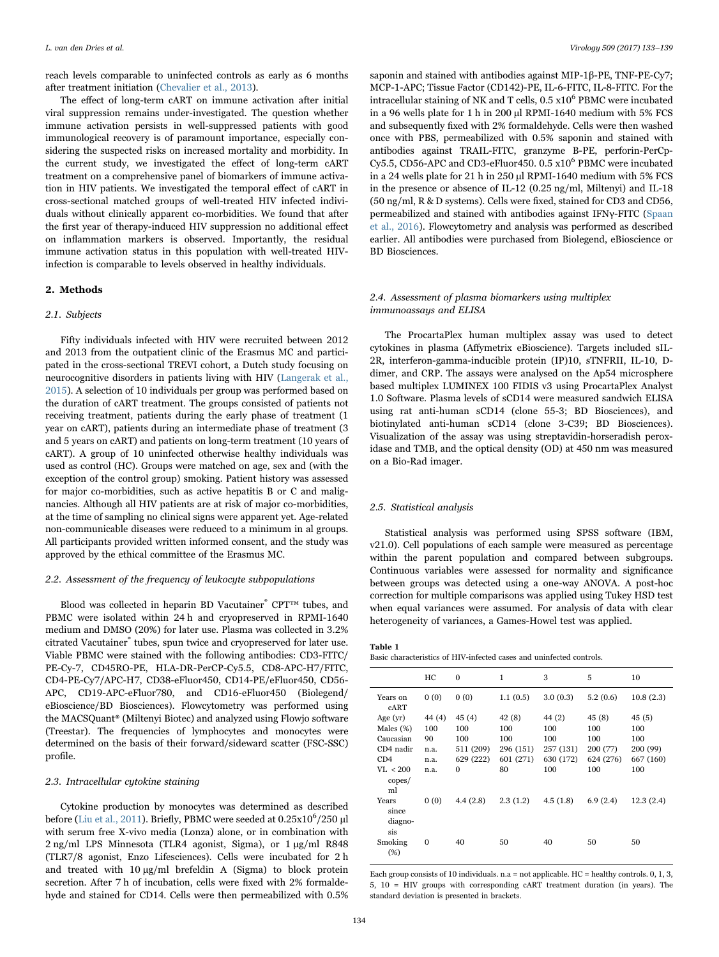reach levels comparable to uninfected controls as early as 6 months after treatment initiation ([Chevalier et al., 2013](#page-6-9)).

The effect of long-term cART on immune activation after initial viral suppression remains under-investigated. The question whether immune activation persists in well-suppressed patients with good immunological recovery is of paramount importance, especially considering the suspected risks on increased mortality and morbidity. In the current study, we investigated the effect of long-term cART treatment on a comprehensive panel of biomarkers of immune activation in HIV patients. We investigated the temporal effect of cART in cross-sectional matched groups of well-treated HIV infected individuals without clinically apparent co-morbidities. We found that after the first year of therapy-induced HIV suppression no additional effect on inflammation markers is observed. Importantly, the residual immune activation status in this population with well-treated HIVinfection is comparable to levels observed in healthy individuals.

#### 2. Methods

#### 2.1. Subjects

Fifty individuals infected with HIV were recruited between 2012 and 2013 from the outpatient clinic of the Erasmus MC and participated in the cross-sectional TREVI cohort, a Dutch study focusing on neurocognitive disorders in patients living with HIV ([Langerak et al.,](#page-6-10) [2015\)](#page-6-10). A selection of 10 individuals per group was performed based on the duration of cART treatment. The groups consisted of patients not receiving treatment, patients during the early phase of treatment (1 year on cART), patients during an intermediate phase of treatment (3 and 5 years on cART) and patients on long-term treatment (10 years of cART). A group of 10 uninfected otherwise healthy individuals was used as control (HC). Groups were matched on age, sex and (with the exception of the control group) smoking. Patient history was assessed for major co-morbidities, such as active hepatitis B or C and malignancies. Although all HIV patients are at risk of major co-morbidities, at the time of sampling no clinical signs were apparent yet. Age-related non-communicable diseases were reduced to a minimum in al groups. All participants provided written informed consent, and the study was approved by the ethical committee of the Erasmus MC.

#### 2.2. Assessment of the frequency of leukocyte subpopulations

Blood was collected in heparin BD Vacutainer® CPT™ tubes, and PBMC were isolated within 24 h and cryopreserved in RPMI-1640 medium and DMSO (20%) for later use. Plasma was collected in 3.2% citrated Vacutainer® tubes, spun twice and cryopreserved for later use. Viable PBMC were stained with the following antibodies: CD3-FITC/ PE-Cy-7, CD45RO-PE, HLA-DR-PerCP-Cy5.5, CD8-APC-H7/FITC, CD4-PE-Cy7/APC-H7, CD38-eFluor450, CD14-PE/eFluor450, CD56- APC, CD19-APC-eFluor780, and CD16-eFluor450 (Biolegend/ eBioscience/BD Biosciences). Flowcytometry was performed using the MACSQuant® (Miltenyi Biotec) and analyzed using Flowjo software (Treestar). The frequencies of lymphocytes and monocytes were determined on the basis of their forward/sideward scatter (FSC-SSC) profile.

#### 2.3. Intracellular cytokine staining

Cytokine production by monocytes was determined as described before ([Liu et al., 2011\)](#page-6-11). Briefly, PBMC were seeded at  $0.25 \mathrm{x} 10^6 / 250$   $\mu\mathrm{l}$ with serum free X-vivo media (Lonza) alone, or in combination with 2 ng/ml LPS Minnesota (TLR4 agonist, Sigma), or 1 μg/ml R848 (TLR7/8 agonist, Enzo Lifesciences). Cells were incubated for 2 h and treated with 10 μg/ml brefeldin A (Sigma) to block protein secretion. After 7 h of incubation, cells were fixed with 2% formaldehyde and stained for CD14. Cells were then permeabilized with 0.5%

saponin and stained with antibodies against MIP-1β-PE, TNF-PE-Cy7; MCP-1-APC; Tissue Factor (CD142)-PE, IL-6-FITC, IL-8-FITC. For the intracellular staining of NK and T cells,  $0.5 \times 10^6$  PBMC were incubated in a 96 wells plate for 1 h in 200 μl RPMI-1640 medium with 5% FCS and subsequently fixed with 2% formaldehyde. Cells were then washed once with PBS, permeabilized with 0.5% saponin and stained with antibodies against TRAIL-FITC, granzyme B-PE, perforin-PerCp-Cy5.5, CD56-APC and CD3-eFluor450. 0.5 x10<sup>6</sup> PBMC were incubated in a 24 wells plate for 21 h in 250 μl RPMI-1640 medium with 5% FCS in the presence or absence of IL-12 (0.25 ng/ml, Miltenyi) and IL-18 (50 ng/ml, R & D systems). Cells were fixed, stained for CD3 and CD56, permeabilized and stained with antibodies against IFNγ-FITC ([Spaan](#page-6-12) [et al., 2016](#page-6-12)). Flowcytometry and analysis was performed as described earlier. All antibodies were purchased from Biolegend, eBioscience or BD Biosciences.

#### 2.4. Assessment of plasma biomarkers using multiplex immunoassays and ELISA

The ProcartaPlex human multiplex assay was used to detect cytokines in plasma (Affymetrix eBioscience). Targets included sIL-2R, interferon-gamma-inducible protein (IP)10, sTNFRII, IL-10, Ddimer, and CRP. The assays were analysed on the Ap54 microsphere based multiplex LUMINEX 100 FIDIS v3 using ProcartaPlex Analyst 1.0 Software. Plasma levels of sCD14 were measured sandwich ELISA using rat anti-human sCD14 (clone 55-3; BD Biosciences), and biotinylated anti-human sCD14 (clone 3-C39; BD Biosciences). Visualization of the assay was using streptavidin-horseradish peroxidase and TMB, and the optical density (OD) at 450 nm was measured on a Bio-Rad imager.

#### 2.5. Statistical analysis

Statistical analysis was performed using SPSS software (IBM, v21.0). Cell populations of each sample were measured as percentage within the parent population and compared between subgroups. Continuous variables were assessed for normality and significance between groups was detected using a one-way ANOVA. A post-hoc correction for multiple comparisons was applied using Tukey HSD test when equal variances were assumed. For analysis of data with clear heterogeneity of variances, a Games-Howel test was applied.

<span id="page-1-0"></span>Table 1 Basic characteristics of HIV-infected cases and uninfected controls.

|                                  | HС     | $\mathbf{0}$ | 1         | 3         | 5         | 10        |
|----------------------------------|--------|--------------|-----------|-----------|-----------|-----------|
| Years on<br>cART                 | 0(0)   | 0(0)         | 1.1(0.5)  | 3.0(0.3)  | 5.2(0.6)  | 10.8(2.3) |
| Age $(yr)$                       | 44 (4) | 45 (4)       | 42(8)     | 44 (2)    | 45 (8)    | 45(5)     |
| Males $(\%)$                     | 100    | 100          | 100       | 100       | 100       | 100       |
| Caucasian                        | 90     | 100          | 100       | 100       | 100       | 100       |
| CD4 nadir                        | n.a.   | 511 (209)    | 296 (151) | 257 (131) | 200 (77)  | 200 (99)  |
| CD4                              | n.a.   | 629 (222)    | 601 (271) | 630 (172) | 624 (276) | 667 (160) |
| VL < 200<br>copes/<br>ml         | n.a.   | $\Omega$     | 80        | 100       | 100       | 100       |
| Years<br>since<br>diagno-<br>sis | 0(0)   | 4.4(2.8)     | 2.3(1.2)  | 4.5(1.8)  | 6.9(2.4)  | 12.3(2.4) |
| Smoking<br>(%)                   | 0      | 40           | 50        | 40        | 50        | 50        |

Each group consists of 10 individuals. n.a = not applicable. HC = healthy controls. 0, 1, 3, 5, 10 = HIV groups with corresponding cART treatment duration (in years). The standard deviation is presented in brackets.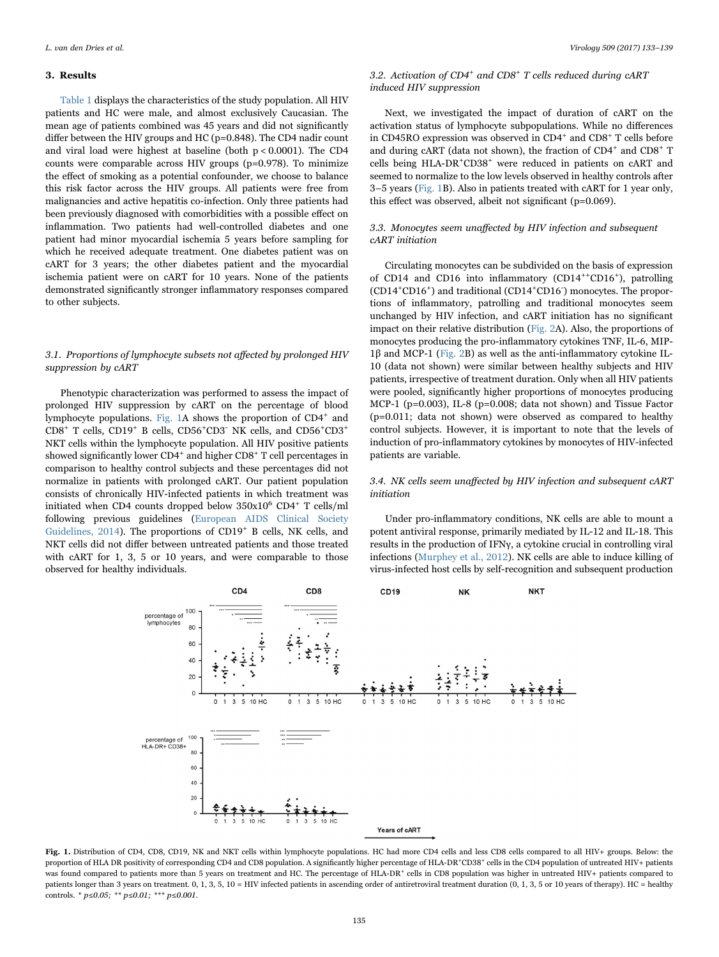#### 3. Results

[Table 1](#page-1-0) displays the characteristics of the study population. All HIV patients and HC were male, and almost exclusively Caucasian. The mean age of patients combined was 45 years and did not significantly differ between the HIV groups and HC (p=0.848). The CD4 nadir count and viral load were highest at baseline (both p < 0.0001). The CD4 counts were comparable across HIV groups (p=0.978). To minimize the effect of smoking as a potential confounder, we choose to balance this risk factor across the HIV groups. All patients were free from malignancies and active hepatitis co-infection. Only three patients had been previously diagnosed with comorbidities with a possible effect on inflammation. Two patients had well-controlled diabetes and one patient had minor myocardial ischemia 5 years before sampling for which he received adequate treatment. One diabetes patient was on cART for 3 years; the other diabetes patient and the myocardial ischemia patient were on cART for 10 years. None of the patients demonstrated significantly stronger inflammatory responses compared to other subjects.

#### 3.1. Proportions of lymphocyte subsets not affected by prolonged HIV suppression by cART

Phenotypic characterization was performed to assess the impact of prolonged HIV suppression by cART on the percentage of blood lymphocyte populations. [Fig. 1A](#page-2-0) shows the proportion of CD4<sup>+</sup> and CD8<sup>+</sup> T cells, CD19+ B cells, CD56<sup>+</sup> CD3- NK cells, and CD56+ CD3<sup>+</sup> NKT cells within the lymphocyte population. All HIV positive patients showed significantly lower CD4<sup>+</sup> and higher CD8<sup>+</sup> T cell percentages in comparison to healthy control subjects and these percentages did not normalize in patients with prolonged cART. Our patient population consists of chronically HIV-infected patients in which treatment was initiated when CD4 counts dropped below  $350x10^6$  CD4<sup>+</sup> T cells/ml following previous guidelines [\(European AIDS Clinical Society](#page-6-13) Guidelines,  $2014$ ). The proportions of CD19<sup>+</sup> B cells, NK cells, and NKT cells did not differ between untreated patients and those treated with cART for 1, 3, 5 or 10 years, and were comparable to those observed for healthy individuals.

## 3.2. Activation of  $CD4^+$  and  $CD8^+$  T cells reduced during  $cART$ induced HIV suppression

Next, we investigated the impact of duration of cART on the activation status of lymphocyte subpopulations. While no differences in CD45RO expression was observed in  ${\rm CD4^+}$  and  ${\rm CD8^+}$  T cells before and during cART (data not shown), the fraction of  $CD4^+$  and  $CD8^+$  T cells being HLA-DR+ CD38<sup>+</sup> were reduced in patients on cART and seemed to normalize to the low levels observed in healthy controls after 3–5 years ([Fig. 1B](#page-2-0)). Also in patients treated with cART for 1 year only, this effect was observed, albeit not significant (p=0.069).

### 3.3. Monocytes seem unaffected by HIV infection and subsequent cART initiation

Circulating monocytes can be subdivided on the basis of expression of CD14 and CD16 into inflammatory (CD14<sup>++</sup>CD16<sup>+</sup>), patrolling (CD14<sup>+</sup> CD16<sup>+</sup> ) and traditional (CD14<sup>+</sup> CD16- ) monocytes. The proportions of inflammatory, patrolling and traditional monocytes seem unchanged by HIV infection, and cART initiation has no significant impact on their relative distribution ([Fig. 2](#page-3-0)A). Also, the proportions of monocytes producing the pro-inflammatory cytokines TNF, IL-6, MIP-1β and MCP-1 ([Fig. 2](#page-3-0)B) as well as the anti-inflammatory cytokine IL-10 (data not shown) were similar between healthy subjects and HIV patients, irrespective of treatment duration. Only when all HIV patients were pooled, significantly higher proportions of monocytes producing MCP-1 (p=0.003), IL-8 (p=0.008; data not shown) and Tissue Factor (p=0.011; data not shown) were observed as compared to healthy control subjects. However, it is important to note that the levels of induction of pro-inflammatory cytokines by monocytes of HIV-infected patients are variable.

#### 3.4. NK cells seem unaffected by HIV infection and subsequent cART initiation

Under pro-inflammatory conditions, NK cells are able to mount a potent antiviral response, primarily mediated by IL-12 and IL-18. This results in the production of IFNγ, a cytokine crucial in controlling viral infections ([Murphey et al., 2012](#page-6-14)). NK cells are able to induce killing of virus-infected host cells by self-recognition and subsequent production

<span id="page-2-0"></span>

Fig. 1. Distribution of CD4, CD8, CD19, NK and NKT cells within lymphocyte populations. HC had more CD4 cells and less CD8 cells compared to all HIV+ groups. Below: the proportion of HLA DR positivity of corresponding CD4 and CD8 population. A significantly higher percentage of HLA-DR\*CD38\* cells in the CD4 population of untreated HIV+ patients was found compared to patients more than 5 years on treatment and HC. The percentage of HLA-DR<sup>+</sup> cells in CD8 population was higher in untreated HIV+ patients compared to patients longer than 3 years on treatment. 0, 1, 3, 5, 10 = HIV infected patients in ascending order of antiretroviral treatment duration (0, 1, 3, 5 or 10 years of therapy). HC = healthy controls. \*  $p \le 0.05$ ; \*\*  $p \le 0.01$ ; \*\*\*  $p \le 0.001$ .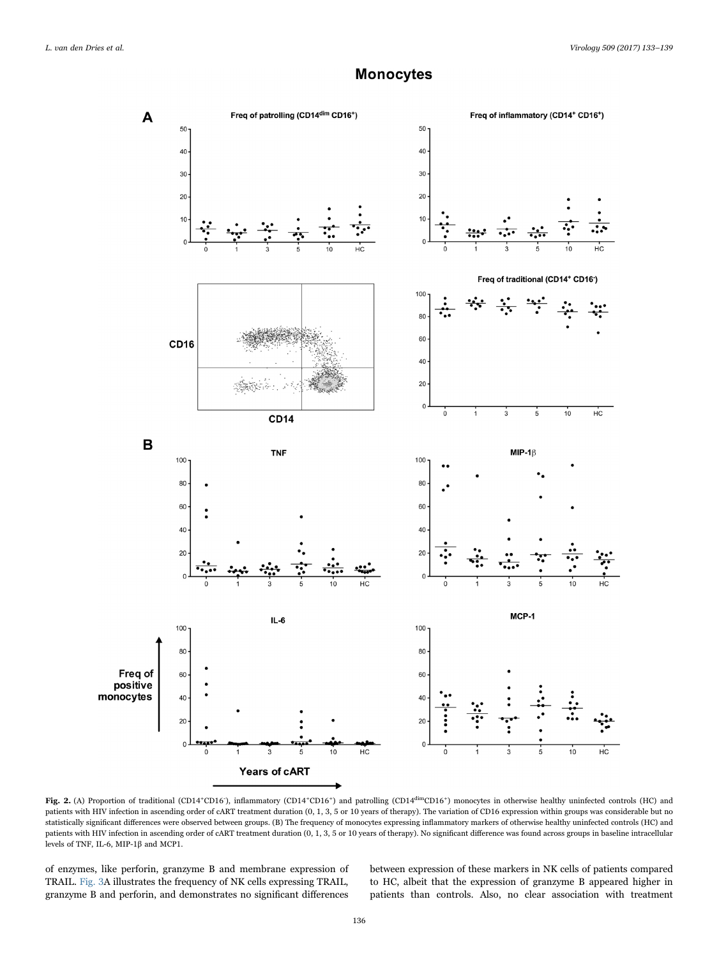## **Monocytes**

<span id="page-3-0"></span>

Fig. 2. (A) Proportion of traditional (CD14<sup>+</sup>CD16), inflammatory (CD14<sup>+</sup>CD16<sup>+</sup>) and patrolling (CD14<sup>dim</sup>CD16<sup>+</sup>) monocytes in otherwise healthy uninfected controls (HC) and patients with HIV infection in ascending order of cART treatment duration (0, 1, 3, 5 or 10 years of therapy). The variation of CD16 expression within groups was considerable but no statistically significant differences were observed between groups. (B) The frequency of monocytes expressing inflammatory markers of otherwise healthy uninfected controls (HC) and patients with HIV infection in ascending order of cART treatment duration (0, 1, 3, 5 or 10 years of therapy). No significant difference was found across groups in baseline intracellular levels of TNF, IL-6, MIP-1β and MCP1.

of enzymes, like perforin, granzyme B and membrane expression of TRAIL. [Fig. 3](#page-4-0)A illustrates the frequency of NK cells expressing TRAIL, granzyme B and perforin, and demonstrates no significant differences between expression of these markers in NK cells of patients compared to HC, albeit that the expression of granzyme B appeared higher in patients than controls. Also, no clear association with treatment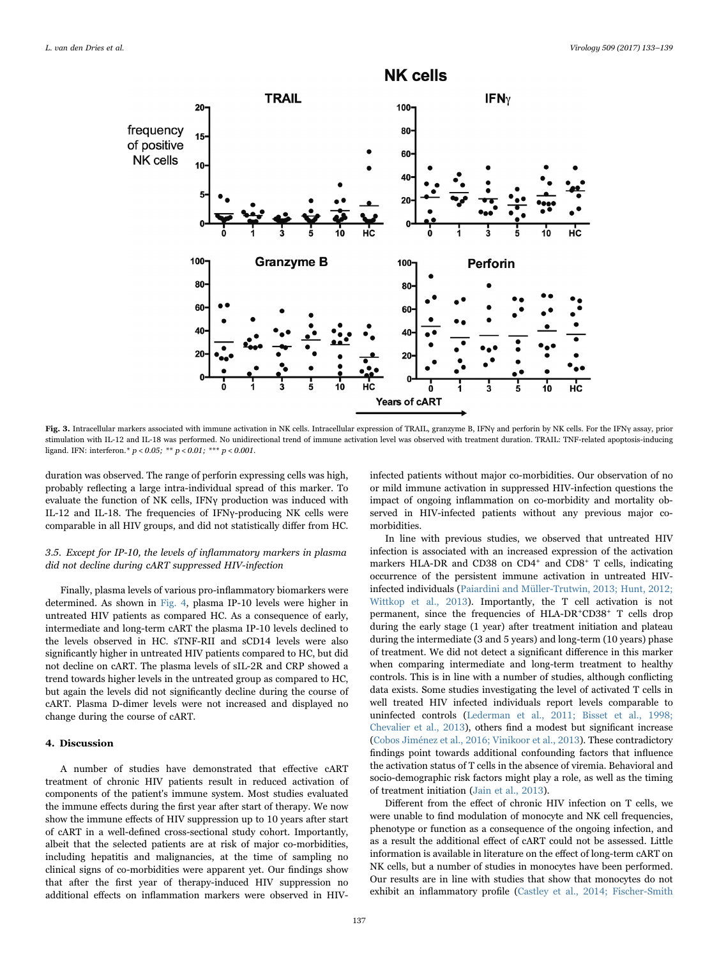<span id="page-4-0"></span>

Fig. 3. Intracellular markers associated with immune activation in NK cells. Intracellular expression of TRAIL, granzyme B, IFNy and perforin by NK cells. For the IFNy assay, prior stimulation with IL-12 and IL-18 was performed. No unidirectional trend of immune activation level was observed with treatment duration. TRAIL: TNF-related apoptosis-inducing ligand. IFN: interferon. \*  $p < 0.05$ ; \*\*\*  $p < 0.01$ ; \*\*\*  $p < 0.001$ .

duration was observed. The range of perforin expressing cells was high, probably reflecting a large intra-individual spread of this marker. To evaluate the function of NK cells, IFNγ production was induced with IL-12 and IL-18. The frequencies of IFNγ-producing NK cells were comparable in all HIV groups, and did not statistically differ from HC.

### 3.5. Except for IP-10, the levels of inflammatory markers in plasma did not decline during cART suppressed HIV-infection

Finally, plasma levels of various pro-inflammatory biomarkers were determined. As shown in [Fig. 4](#page-5-0), plasma IP-10 levels were higher in untreated HIV patients as compared HC. As a consequence of early, intermediate and long-term cART the plasma IP-10 levels declined to the levels observed in HC. sTNF-RII and sCD14 levels were also significantly higher in untreated HIV patients compared to HC, but did not decline on cART. The plasma levels of sIL-2R and CRP showed a trend towards higher levels in the untreated group as compared to HC, but again the levels did not significantly decline during the course of cART. Plasma D-dimer levels were not increased and displayed no change during the course of cART.

#### 4. Discussion

A number of studies have demonstrated that effective cART treatment of chronic HIV patients result in reduced activation of components of the patient's immune system. Most studies evaluated the immune effects during the first year after start of therapy. We now show the immune effects of HIV suppression up to 10 years after start of cART in a well-defined cross-sectional study cohort. Importantly, albeit that the selected patients are at risk of major co-morbidities, including hepatitis and malignancies, at the time of sampling no clinical signs of co-morbidities were apparent yet. Our findings show that after the first year of therapy-induced HIV suppression no additional effects on inflammation markers were observed in HIV-

infected patients without major co-morbidities. Our observation of no or mild immune activation in suppressed HIV-infection questions the impact of ongoing inflammation on co-morbidity and mortality observed in HIV-infected patients without any previous major comorbidities.

In line with previous studies, we observed that untreated HIV infection is associated with an increased expression of the activation markers HLA-DR and CD38 on CD4<sup>+</sup> and CD8<sup>+</sup> T cells, indicating occurrence of the persistent immune activation in untreated HIVinfected individuals ([Paiardini and Müller-Trutwin, 2013; Hunt, 2012;](#page-6-0) [Wittkop et al., 2013](#page-6-0)). Importantly, the T cell activation is not permanent, since the frequencies of HLA-DR+CD38+ T cells drop during the early stage (1 year) after treatment initiation and plateau during the intermediate (3 and 5 years) and long-term (10 years) phase of treatment. We did not detect a significant difference in this marker when comparing intermediate and long-term treatment to healthy controls. This is in line with a number of studies, although conflicting data exists. Some studies investigating the level of activated T cells in well treated HIV infected individuals report levels comparable to uninfected controls ([Lederman et al., 2011; Bisset et al., 1998;](#page-6-1) [Chevalier et al., 2013](#page-6-1)), others find a modest but significant increase ([Cobos Jiménez et al., 2016; Vinikoor et al., 2013](#page-6-15)). These contradictory findings point towards additional confounding factors that influence the activation status of T cells in the absence of viremia. Behavioral and socio-demographic risk factors might play a role, as well as the timing of treatment initiation ([Jain et al., 2013](#page-6-16)).

Different from the effect of chronic HIV infection on T cells, we were unable to find modulation of monocyte and NK cell frequencies, phenotype or function as a consequence of the ongoing infection, and as a result the additional effect of cART could not be assessed. Little information is available in literature on the effect of long-term cART on NK cells, but a number of studies in monocytes have been performed. Our results are in line with studies that show that monocytes do not exhibit an inflammatory profile [\(Castley et al., 2014; Fischer-Smith](#page-6-17)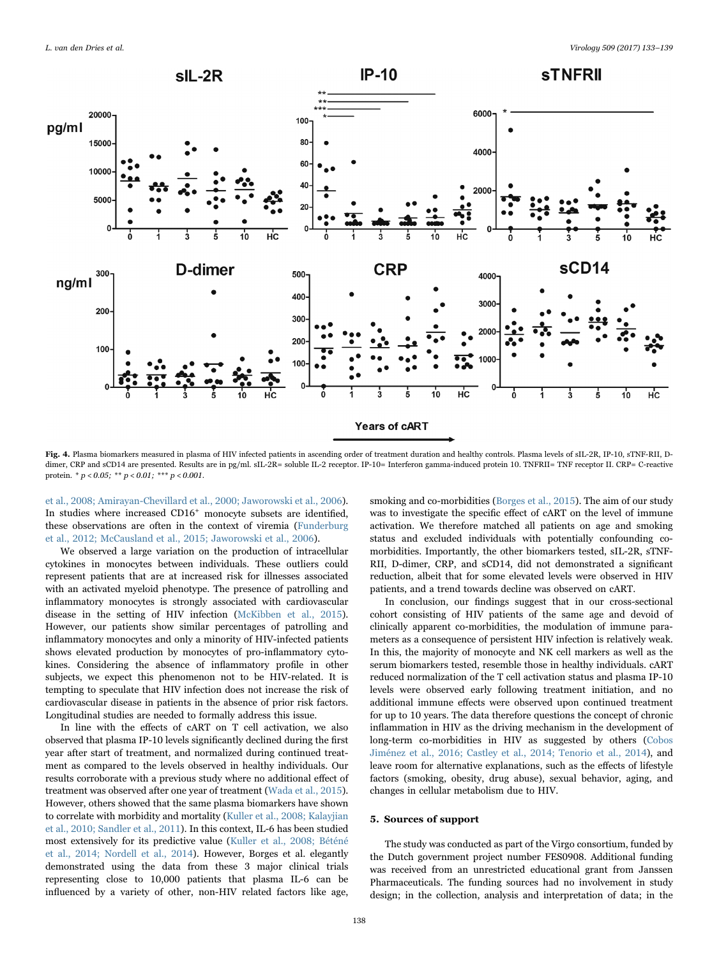<span id="page-5-0"></span>

Fig. 4. Plasma biomarkers measured in plasma of HIV infected patients in ascending order of treatment duration and healthy controls. Plasma levels of sIL-2R, IP-10, sTNF-RII, Ddimer, CRP and sCD14 are presented. Results are in pg/ml. sIL-2R= soluble IL-2 receptor. IP-10= Interferon gamma-induced protein 10. TNFRII= TNF receptor II. CRP= C-reactive protein. \*  $p < 0.05$ ; \*\*  $p < 0.01$ ; \*\*\*  $p < 0.001$ .

[et al., 2008; Amirayan-Chevillard et al., 2000; Jaworowski et al., 2006\)](#page-6-17). In studies where increased CD16<sup>+</sup> monocyte subsets are identified, these observations are often in the context of viremia ([Funderburg](#page-6-4) [et al., 2012; McCausland et al., 2015; Jaworowski et al., 2006](#page-6-4)).

We observed a large variation on the production of intracellular cytokines in monocytes between individuals. These outliers could represent patients that are at increased risk for illnesses associated with an activated myeloid phenotype. The presence of patrolling and inflammatory monocytes is strongly associated with cardiovascular disease in the setting of HIV infection ([McKibben et al., 2015\)](#page-6-18). However, our patients show similar percentages of patrolling and inflammatory monocytes and only a minority of HIV-infected patients shows elevated production by monocytes of pro-inflammatory cytokines. Considering the absence of inflammatory profile in other subjects, we expect this phenomenon not to be HIV-related. It is tempting to speculate that HIV infection does not increase the risk of cardiovascular disease in patients in the absence of prior risk factors. Longitudinal studies are needed to formally address this issue.

In line with the effects of cART on T cell activation, we also observed that plasma IP-10 levels significantly declined during the first year after start of treatment, and normalized during continued treatment as compared to the levels observed in healthy individuals. Our results corroborate with a previous study where no additional effect of treatment was observed after one year of treatment [\(Wada et al., 2015\)](#page-6-7). However, others showed that the same plasma biomarkers have shown to correlate with morbidity and mortality ([Kuller et al., 2008; Kalayjian](#page-6-19) [et al., 2010; Sandler et al., 2011\)](#page-6-19). In this context, IL-6 has been studied most extensively for its predictive value ([Kuller et al., 2008; Béténé](#page-6-19) [et al., 2014; Nordell et al., 2014\)](#page-6-19). However, Borges et al. elegantly demonstrated using the data from these 3 major clinical trials representing close to 10,000 patients that plasma IL-6 can be influenced by a variety of other, non-HIV related factors like age,

smoking and co-morbidities [\(Borges et al., 2015\)](#page-6-20). The aim of our study was to investigate the specific effect of cART on the level of immune activation. We therefore matched all patients on age and smoking status and excluded individuals with potentially confounding comorbidities. Importantly, the other biomarkers tested, sIL-2R, sTNF-RII, D-dimer, CRP, and sCD14, did not demonstrated a significant reduction, albeit that for some elevated levels were observed in HIV patients, and a trend towards decline was observed on cART.

In conclusion, our findings suggest that in our cross-sectional cohort consisting of HIV patients of the same age and devoid of clinically apparent co-morbidities, the modulation of immune parameters as a consequence of persistent HIV infection is relatively weak. In this, the majority of monocyte and NK cell markers as well as the serum biomarkers tested, resemble those in healthy individuals. cART reduced normalization of the T cell activation status and plasma IP-10 levels were observed early following treatment initiation, and no additional immune effects were observed upon continued treatment for up to 10 years. The data therefore questions the concept of chronic inflammation in HIV as the driving mechanism in the development of long-term co-morbidities in HIV as suggested by others [\(Cobos](#page-6-15) [Jiménez et al., 2016; Castley et al., 2014; Tenorio et al., 2014\)](#page-6-15), and leave room for alternative explanations, such as the effects of lifestyle factors (smoking, obesity, drug abuse), sexual behavior, aging, and changes in cellular metabolism due to HIV.

#### 5. Sources of support

The study was conducted as part of the Virgo consortium, funded by the Dutch government project number FES0908. Additional funding was received from an unrestricted educational grant from Janssen Pharmaceuticals. The funding sources had no involvement in study design; in the collection, analysis and interpretation of data; in the